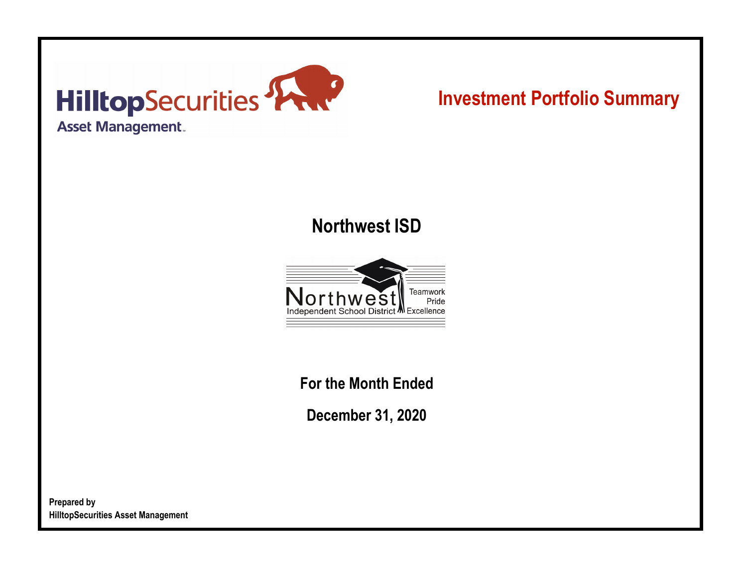

# **Investment Portfolio Summary**

## **Northwest ISD**



**For the Month Ended**

**December 31, 2020**

**Prepared by HilltopSecurities Asset Management**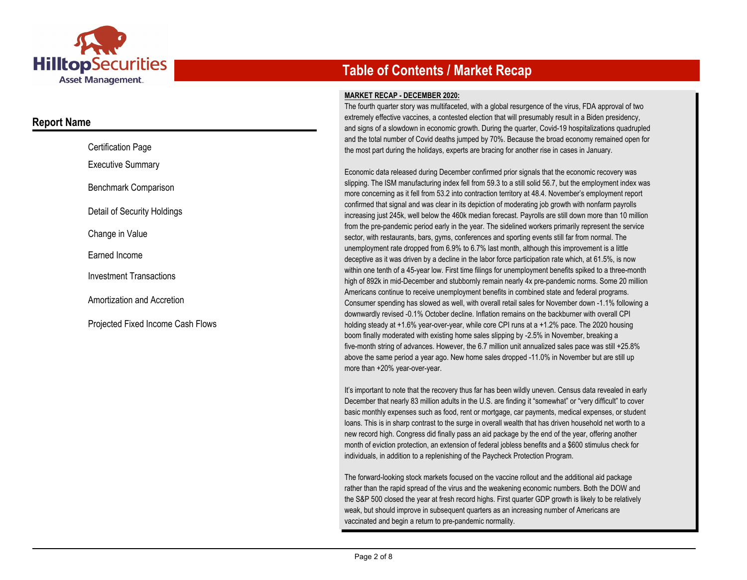

### **Report Name**

| <b>Certification Page</b>                |
|------------------------------------------|
| <b>Executive Summary</b>                 |
| Benchmark Comparison                     |
| Detail of Security Holdings              |
| Change in Value                          |
| Earned Income                            |
| <b>Investment Transactions</b>           |
| Amortization and Accretion               |
| <b>Projected Fixed Income Cash Flows</b> |

### **Table of Contents / Market Recap**

#### **MARKET RECAP - DECEMBER 2020:**

The fourth quarter story was multifaceted, with a global resurgence of the virus, FDA approval of two extremely effective vaccines, a contested election that will presumably result in a Biden presidency, and signs of a slowdown in economic growth. During the quarter, Covid-19 hospitalizations quadrupled and the total number of Covid deaths jumped by 70%. Because the broad economy remained open for the most part during the holidays, experts are bracing for another rise in cases in January.

Economic data released during December confirmed prior signals that the economic recovery was slipping. The ISM manufacturing index fell from 59.3 to a still solid 56.7, but the employment index was more concerning as it fell from 53.2 into contraction territory at 48.4. November's employment report confirmed that signal and was clear in its depiction of moderating job growth with nonfarm payrolls increasing just 245k, well below the 460k median forecast. Payrolls are still down more than 10 million from the pre-pandemic period early in the year. The sidelined workers primarily represent the service sector, with restaurants, bars, gyms, conferences and sporting events still far from normal. The unemployment rate dropped from 6.9% to 6.7% last month, although this improvement is a little deceptive as it was driven by a decline in the labor force participation rate which, at 61.5%, is now within one tenth of a 45-year low. First time filings for unemployment benefits spiked to a three-month high of 892k in mid-December and stubbornly remain nearly 4x pre-pandemic norms. Some 20 million Americans continue to receive unemployment benefits in combined state and federal programs. Consumer spending has slowed as well, with overall retail sales for November down -1.1% following a downwardly revised -0.1% October decline. Inflation remains on the backburner with overall CPI holding steady at +1.6% year-over-year, while core CPI runs at a +1.2% pace. The 2020 housing boom finally moderated with existing home sales slipping by -2.5% in November, breaking a five-month string of advances. However, the 6.7 million unit annualized sales pace was still +25.8% above the same period a year ago. New home sales dropped -11.0% in November but are still up more than +20% year-over-year.

It's important to note that the recovery thus far has been wildly uneven. Census data revealed in early December that nearly 83 million adults in the U.S. are finding it "somewhat" or "very difficult" to cover basic monthly expenses such as food, rent or mortgage, car payments, medical expenses, or student loans. This is in sharp contrast to the surge in overall wealth that has driven household net worth to a new record high. Congress did finally pass an aid package by the end of the year, offering another month of eviction protection, an extension of federal jobless benefits and a \$600 stimulus check for individuals, in addition to a replenishing of the Paycheck Protection Program.

The forward-looking stock markets focused on the vaccine rollout and the additional aid package rather than the rapid spread of the virus and the weakening economic numbers. Both the DOW and the S&P 500 closed the year at fresh record highs. First quarter GDP growth is likely to be relatively weak, but should improve in subsequent quarters as an increasing number of Americans are vaccinated and begin a return to pre-pandemic normality.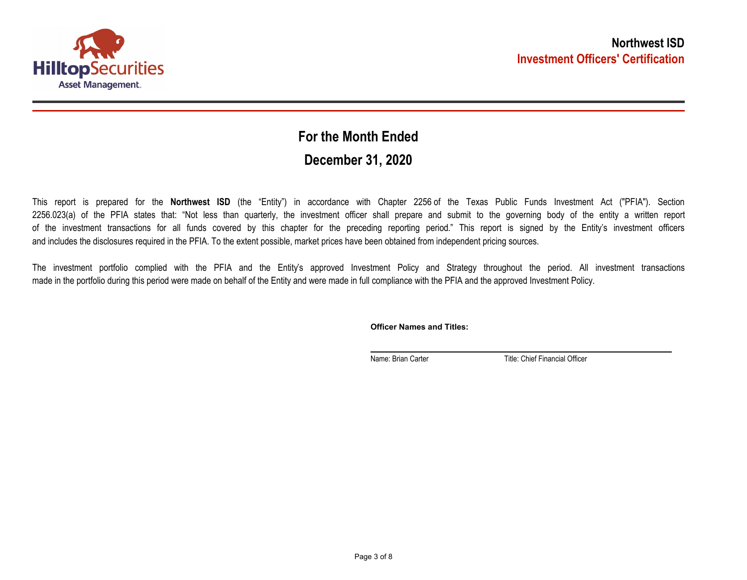

## **December 31, 2020 For the Month Ended**

This report is prepared for the **Northwest ISD** (the "Entity") in accordance with Chapter 2256 of the Texas Public Funds Investment Act ("PFIA"). Section 2256.023(a) of the PFIA states that: "Not less than quarterly, the investment officer shall prepare and submit to the governing body of the entity a written report of the investment transactions for all funds covered by this chapter for the preceding reporting period." This report is signed by the Entity's investment officers and includes the disclosures required in the PFIA. To the extent possible, market prices have been obtained from independent pricing sources.

The investment portfolio complied with the PFIA and the Entity's approved Investment Policy and Strategy throughout the period. All investment transactions made in the portfolio during this period were made on behalf of the Entity and were made in full compliance with the PFIA and the approved Investment Policy.

**Officer Names and Titles:**

Name: Brian Carter Title: Chief Financial Officer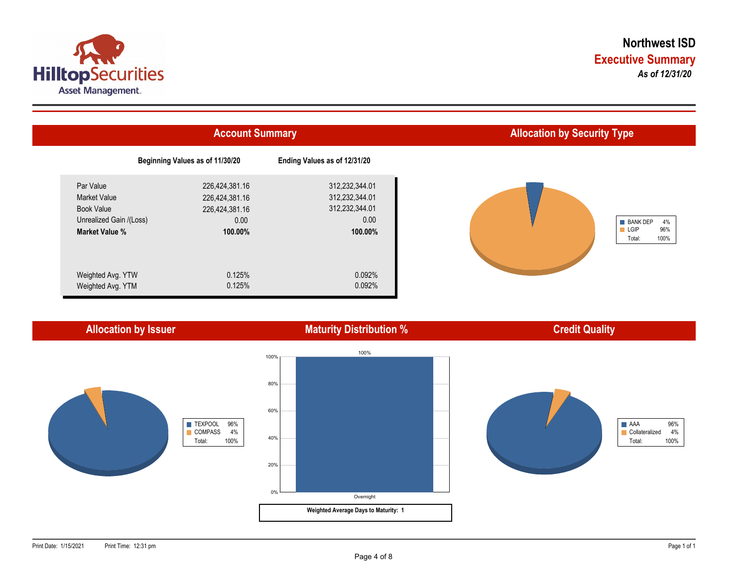



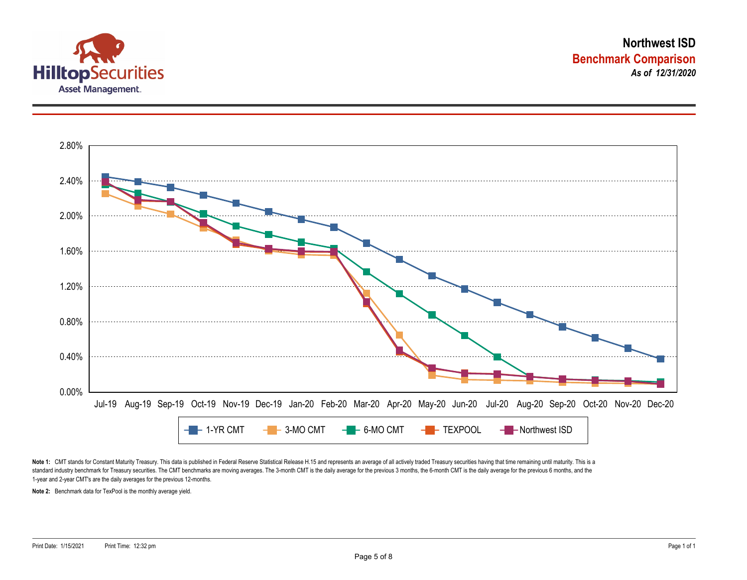



Note 1: CMT stands for Constant Maturity Treasury. This data is published in Federal Reserve Statistical Release H.15 and represents an average of all actively traded Treasury securities having that time remaining until ma standard industry benchmark for Treasury securities. The CMT benchmarks are moving averages. The 3-month CMT is the daily average for the previous 3 months, the 6-month CMT is the daily average for the previous 6 months, a 1-year and 2-year CMT's are the daily averages for the previous 12-months.

**Note 2:** Benchmark data for TexPool is the monthly average yield.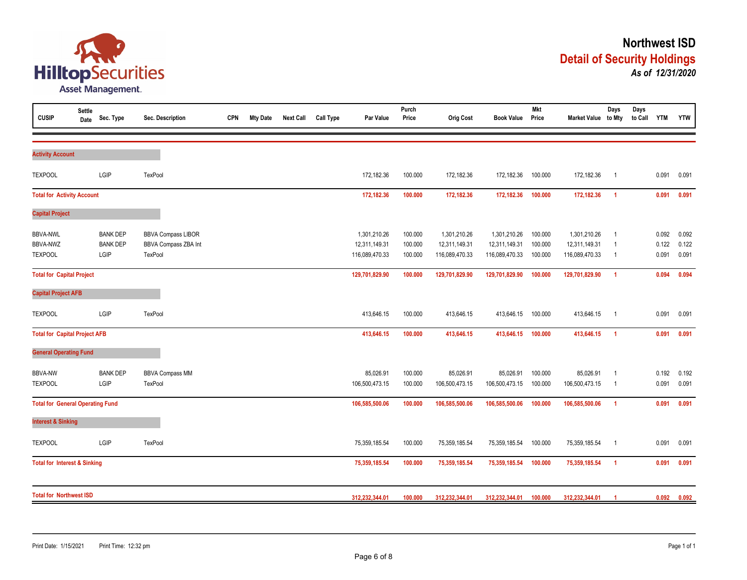

| <b>CUSIP</b>                            | <b>Settle</b><br>Date | Sec. Type               | Sec. Description                | <b>CPN</b> | <b>Mty Date</b> | <b>Next Call</b> | <b>Call Type</b> | Par Value                       | Purch<br>Price     | <b>Orig Cost</b>                | <b>Book Value</b>               | <b>Mkt</b><br>Price | Market Value to Mty             | Days                             | Days<br>to Call YTM |                | <b>YTW</b>     |
|-----------------------------------------|-----------------------|-------------------------|---------------------------------|------------|-----------------|------------------|------------------|---------------------------------|--------------------|---------------------------------|---------------------------------|---------------------|---------------------------------|----------------------------------|---------------------|----------------|----------------|
|                                         |                       |                         |                                 |            |                 |                  |                  |                                 |                    |                                 |                                 |                     |                                 |                                  |                     |                |                |
| <b>Activity Account</b>                 |                       |                         |                                 |            |                 |                  |                  |                                 |                    |                                 |                                 |                     |                                 |                                  |                     |                |                |
| <b>TEXPOOL</b>                          |                       | LGIP                    | <b>TexPool</b>                  |            |                 |                  |                  | 172,182.36                      | 100.000            | 172,182.36                      | 172,182.36                      | 100.000             | 172,182.36                      | $\overline{1}$                   |                     | 0.091          | 0.091          |
| <b>Total for Activity Account</b>       |                       |                         |                                 |            |                 |                  |                  | 172,182.36                      | 100.000            | 172,182.36                      | 172,182.36                      | 100.000             | 172,182.36                      | $\overline{1}$                   |                     | 0.091          | 0.091          |
| <b>Capital Project</b>                  |                       |                         |                                 |            |                 |                  |                  |                                 |                    |                                 |                                 |                     |                                 |                                  |                     |                |                |
| <b>BBVA-NWL</b>                         |                       | <b>BANK DEP</b>         | <b>BBVA Compass LIBOR</b>       |            |                 |                  |                  | 1,301,210.26                    | 100.000            | 1,301,210.26                    | 1,301,210.26                    | 100.000             | 1,301,210.26                    | - 1                              |                     | 0.092          | 0.092          |
| <b>BBVA-NWZ</b><br><b>TEXPOOL</b>       |                       | <b>BANK DEP</b><br>LGIP | BBVA Compass ZBA Int<br>TexPool |            |                 |                  |                  | 12,311,149.31<br>116,089,470.33 | 100.000<br>100.000 | 12,311,149.31<br>116,089,470.33 | 12,311,149.31<br>116,089,470.33 | 100.000<br>100.000  | 12,311,149.31<br>116,089,470.33 | $\overline{1}$<br>$\overline{1}$ |                     | 0.122<br>0.091 | 0.122<br>0.091 |
| <b>Total for Capital Project</b>        |                       |                         |                                 |            |                 |                  |                  | 129,701,829.90                  | 100.000            | 129,701,829.90                  | 129,701,829.90                  | 100.000             | 129,701,829.90                  | $\overline{1}$                   |                     | 0.094          | 0.094          |
| <b>Capital Project AFB</b>              |                       |                         |                                 |            |                 |                  |                  |                                 |                    |                                 |                                 |                     |                                 |                                  |                     |                |                |
| <b>TEXPOOL</b>                          |                       | LGIP                    | TexPool                         |            |                 |                  |                  | 413,646.15                      | 100.000            | 413,646.15                      | 413,646.15                      | 100.000             | 413,646.15                      | $\overline{1}$                   |                     | 0.091          | 0.091          |
| <b>Total for Capital Project AFB</b>    |                       |                         |                                 |            |                 |                  |                  | 413,646.15                      | 100.000            | 413,646.15                      | 413,646.15                      | 100.000             | 413,646.15                      | $\overline{1}$                   |                     | 0.091          | 0.091          |
| <b>General Operating Fund</b>           |                       |                         |                                 |            |                 |                  |                  |                                 |                    |                                 |                                 |                     |                                 |                                  |                     |                |                |
| <b>BBVA-NW</b>                          |                       | <b>BANK DEP</b>         | <b>BBVA Compass MM</b>          |            |                 |                  |                  | 85,026.91                       | 100.000            | 85,026.91                       | 85,026.91                       | 100.000             | 85,026.91                       | $\overline{1}$                   |                     | 0.192          | 0.192          |
| <b>TEXPOOL</b>                          |                       | LGIP                    | TexPool                         |            |                 |                  |                  | 106,500,473.15                  | 100.000            | 106,500,473.15                  | 106,500,473.15                  | 100.000             | 106,500,473.15                  | - 1                              |                     | 0.091          | 0.091          |
| <b>Total for General Operating Fund</b> |                       |                         |                                 |            |                 |                  |                  | 106,585,500.06                  | 100.000            | 106,585,500.06                  | 106,585,500.06                  | 100.000             | 106,585,500.06                  | $\overline{1}$                   |                     | 0.091          | 0.091          |
| <b>Interest &amp; Sinking</b>           |                       |                         |                                 |            |                 |                  |                  |                                 |                    |                                 |                                 |                     |                                 |                                  |                     |                |                |
| <b>TEXPOOL</b>                          |                       | LGIP                    | TexPool                         |            |                 |                  |                  | 75,359,185.54                   | 100.000            | 75,359,185.54                   | 75,359,185.54                   | 100.000             | 75,359,185.54                   | - 1                              |                     | 0.091          | 0.091          |
| <b>Total for Interest &amp; Sinking</b> |                       |                         |                                 |            |                 |                  |                  | 75,359,185.54                   | 100.000            | 75,359,185.54                   | 75,359,185.54                   | 100.000             | 75,359,185.54                   | $\overline{1}$                   |                     | 0.091          | 0.091          |
| <b>Total for Northwest ISD</b>          |                       |                         |                                 |            |                 |                  |                  | 312,232,344.01                  | 100.000            | 312,232,344.01                  | 312,232,344.01                  | 100.000             | 312,232,344.01                  |                                  |                     | 0.092          | 0.092          |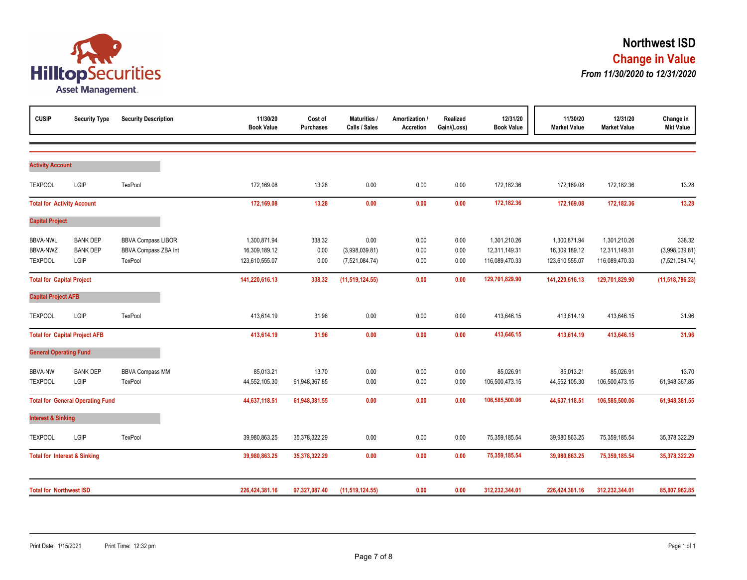

| <b>CUSIP</b>                                  | <b>Security Type</b>                       | <b>Security Description</b>                                         | 11/30/20<br><b>Book Value</b>                   | Cost of<br><b>Purchases</b> | Maturities /<br>Calls / Sales            | Amortization /<br><b>Accretion</b> | Realized<br>Gain/(Loss) | 12/31/20<br><b>Book Value</b>                   | 11/30/20<br><b>Market Value</b>                 | 12/31/20<br><b>Market Value</b>                 | Change in<br><b>Mkt Value</b>              |
|-----------------------------------------------|--------------------------------------------|---------------------------------------------------------------------|-------------------------------------------------|-----------------------------|------------------------------------------|------------------------------------|-------------------------|-------------------------------------------------|-------------------------------------------------|-------------------------------------------------|--------------------------------------------|
|                                               |                                            |                                                                     |                                                 |                             |                                          |                                    |                         |                                                 |                                                 |                                                 |                                            |
| <b>Activity Account</b>                       |                                            |                                                                     |                                                 |                             |                                          |                                    |                         |                                                 |                                                 |                                                 |                                            |
| <b>TEXPOOL</b>                                | LGIP                                       | TexPool                                                             | 172,169.08                                      | 13.28                       | 0.00                                     | 0.00                               | 0.00                    | 172,182.36                                      | 172,169.08                                      | 172,182.36                                      | 13.28                                      |
| <b>Total for Activity Account</b>             |                                            |                                                                     | 172,169.08                                      | 13.28                       | 0.00                                     | 0.00                               | $0.00\,$                | 172,182.36                                      | 172,169.08                                      | 172,182.36                                      | 13.28                                      |
| <b>Capital Project</b>                        |                                            |                                                                     |                                                 |                             |                                          |                                    |                         |                                                 |                                                 |                                                 |                                            |
| <b>BBVA-NWL</b><br>BBVA-NWZ<br><b>TEXPOOL</b> | <b>BANK DEP</b><br><b>BANK DEP</b><br>LGIP | <b>BBVA Compass LIBOR</b><br><b>BBVA Compass ZBA Int</b><br>TexPool | 1,300,871.94<br>16,309,189.12<br>123,610,555.07 | 338.32<br>0.00<br>0.00      | 0.00<br>(3,998,039.81)<br>(7,521,084.74) | 0.00<br>0.00<br>0.00               | 0.00<br>0.00<br>0.00    | 1,301,210.26<br>12,311,149.31<br>116,089,470.33 | 1,300,871.94<br>16,309,189.12<br>123,610,555.07 | 1,301,210.26<br>12,311,149.31<br>116,089,470.33 | 338.32<br>(3,998,039.81)<br>(7,521,084.74) |
| <b>Total for Capital Project</b>              |                                            |                                                                     | 141,220,616.13                                  | 338.32                      | (11, 519, 124.55)                        | 0.00                               | 0.00                    | 129,701,829.90                                  | 141,220,616.13                                  | 129,701,829.90                                  | (11, 518, 786.23)                          |
| <b>Capital Project AFB</b>                    |                                            |                                                                     |                                                 |                             |                                          |                                    |                         |                                                 |                                                 |                                                 |                                            |
| <b>TEXPOOL</b>                                | LGIP                                       | TexPool                                                             | 413,614.19                                      | 31.96                       | 0.00                                     | 0.00                               | 0.00                    | 413,646.15                                      | 413,614.19                                      | 413,646.15                                      | 31.96                                      |
|                                               | <b>Total for Capital Project AFB</b>       |                                                                     | 413,614.19                                      | 31.96                       | 0.00                                     | 0.00                               | 0.00                    | 413,646.15                                      | 413,614.19                                      | 413,646.15                                      | 31.96                                      |
| <b>General Operating Fund</b>                 |                                            |                                                                     |                                                 |                             |                                          |                                    |                         |                                                 |                                                 |                                                 |                                            |
| <b>BBVA-NW</b><br><b>TEXPOOL</b>              | <b>BANK DEP</b><br>LGIP                    | <b>BBVA Compass MM</b><br>TexPool                                   | 85,013.21<br>44,552,105.30                      | 13.70<br>61,948,367.85      | 0.00<br>0.00                             | 0.00<br>0.00                       | 0.00<br>0.00            | 85,026.91<br>106,500,473.15                     | 85,013.21<br>44,552,105.30                      | 85,026.91<br>106,500,473.15                     | 13.70<br>61,948,367.85                     |
|                                               | <b>Total for General Operating Fund</b>    |                                                                     | 44,637,118.51                                   | 61,948,381.55               | 0.00                                     | 0.00                               | 0.00                    | 106,585,500.06                                  | 44,637,118.51                                   | 106,585,500.06                                  | 61,948,381.55                              |
| <b>Interest &amp; Sinking</b>                 |                                            |                                                                     |                                                 |                             |                                          |                                    |                         |                                                 |                                                 |                                                 |                                            |
| <b>TEXPOOL</b>                                | LGIP                                       | TexPool                                                             | 39,980,863.25                                   | 35,378,322.29               | 0.00                                     | 0.00                               | 0.00                    | 75,359,185.54                                   | 39,980,863.25                                   | 75,359,185.54                                   | 35,378,322.29                              |
| <b>Total for Interest &amp; Sinking</b>       |                                            |                                                                     | 39,980,863.25                                   | 35,378,322.29               | 0.00                                     | 0.00                               | 0.00                    | 75,359,185.54                                   | 39,980,863.25                                   | 75,359,185.54                                   | 35,378,322.29                              |
| <b>Total for Northwest ISD</b>                |                                            |                                                                     | 226,424,381.16                                  | 97,327,087.40               | (11, 519, 124.55)                        | 0.00                               | 0.00                    | 312,232,344.01                                  | 226,424,381.16                                  | 312,232,344.01                                  | 85,807,962.85                              |